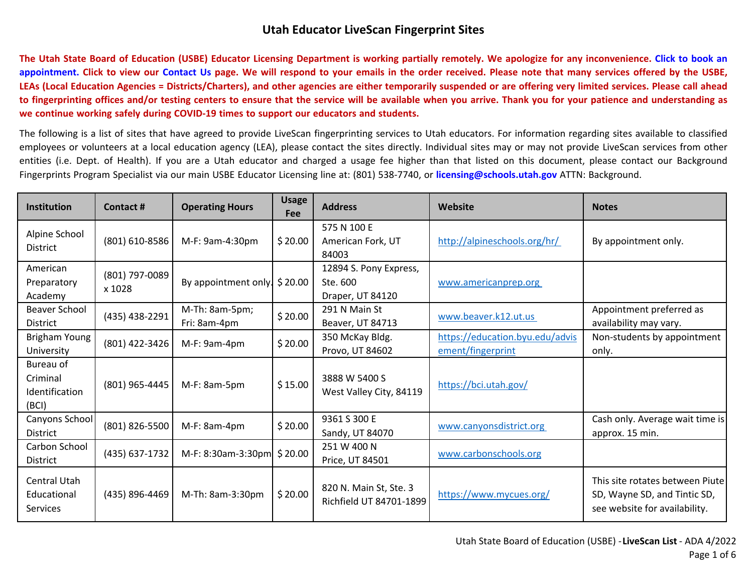**T[he Utah State Board of Education \(USBE\) Educator Licensing Department is working partially remotely. We apologize for any inconvenience. Click to book an](https://outlook.office365.com/owa/calendar/UtahStateBoardofEducationEducatorLicensing@schools.utah.gov/bookings/)  appointment. Click to view our [Contact Us](https://www.schools.utah.gov/licensing/contact) page. We will respond to your emails in the order received. Please note that many services offered by the USBE, LEAs (Local Education Agencies = Districts/Charters), and other agencies are either temporarily suspended or are offering very limited services. Please call ahead to fingerprinting offices and/or testing centers to ensure that the service will be available when you arrive. Thank you for your patience and understanding as we continue working safely during COVID-19 times to support our educators and students.** 

The following is a list of sites that have agreed to provide LiveScan fingerprinting services to Utah educators. For information regarding sites available to classified employees or volunteers at a local education agency (LEA), please contact the sites directly. Individual sites may or may not provide LiveScan services from other entities (i.e. Dept. of Health). If you are a Utah educator and charged a usage fee higher than that listed on this document, please contact our Background Fingerprints Program Specialist via our main USBE Educator Licensing line at: (801) 538-7740, or **[licensing@schools.utah.gov](mailto:licensing@schools.utah.gov)** ATTN: Background.

| <b>Institution</b>                               | Contact#                 | <b>Operating Hours</b>                  | <b>Usage</b><br>Fee | <b>Address</b>                                         | Website                                              | <b>Notes</b>                                                                                     |
|--------------------------------------------------|--------------------------|-----------------------------------------|---------------------|--------------------------------------------------------|------------------------------------------------------|--------------------------------------------------------------------------------------------------|
| Alpine School<br><b>District</b>                 | (801) 610-8586           | M-F: 9am-4:30pm                         | \$20.00             | 575 N 100 E<br>American Fork, UT<br>84003              | http://alpineschools.org/hr/                         | By appointment only.                                                                             |
| American<br>Preparatory<br>Academy               | (801) 797-0089<br>x 1028 | By appointment only $\frac{1}{2}$ 20.00 |                     | 12894 S. Pony Express,<br>Ste. 600<br>Draper, UT 84120 | www.americanprep.org                                 |                                                                                                  |
| Beaver School<br><b>District</b>                 | (435) 438-2291           | M-Th: 8am-5pm;<br>Fri: 8am-4pm          | \$20.00             | 291 N Main St<br>Beaver, UT 84713                      | www.beaver.k12.ut.us                                 | Appointment preferred as<br>availability may vary.                                               |
| Brigham Young<br>University                      | (801) 422-3426           | M-F: 9am-4pm                            | \$20.00             | 350 McKay Bldg.<br>Provo, UT 84602                     | https://education.byu.edu/advis<br>ement/fingerprint | Non-students by appointment<br>only.                                                             |
| Bureau of<br>Criminal<br>Identification<br>(BCI) | (801) 965-4445           | M-F: 8am-5pm                            | \$15.00             | 3888 W 5400 S<br>West Valley City, 84119               | https://bci.utah.gov/                                |                                                                                                  |
| Canyons School<br><b>District</b>                | (801) 826-5500           | M-F: 8am-4pm                            | \$20.00             | 9361 S 300 E<br>Sandy, UT 84070                        | www.canyonsdistrict.org                              | Cash only. Average wait time is<br>approx. 15 min.                                               |
| Carbon School<br><b>District</b>                 | (435) 637-1732           | M-F: 8:30am-3:30pm \$20.00              |                     | 251 W 400 N<br>Price, UT 84501                         | www.carbonschools.org                                |                                                                                                  |
| Central Utah<br>Educational<br>Services          | (435) 896-4469           | M-Th: 8am-3:30pm                        | \$20.00             | 820 N. Main St, Ste. 3<br>Richfield UT 84701-1899      | https://www.mycues.org/                              | This site rotates between Piute<br>SD, Wayne SD, and Tintic SD,<br>see website for availability. |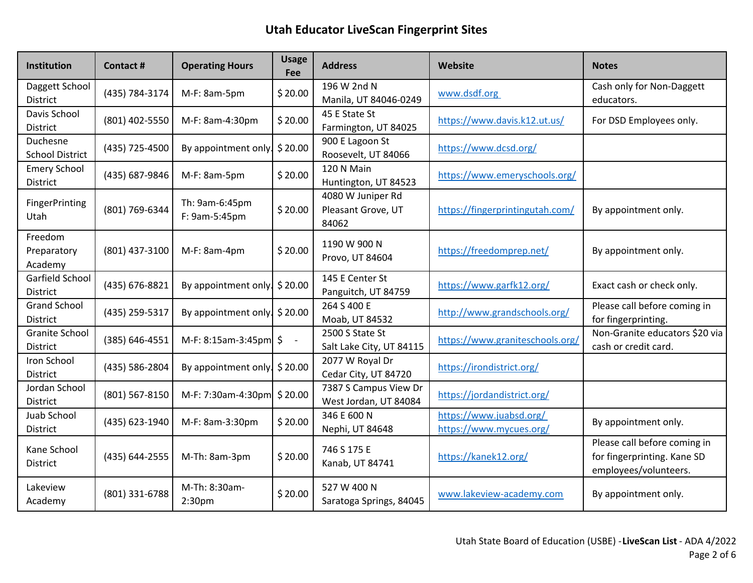| Institution                        | <b>Contact#</b> | <b>Operating Hours</b>           | <b>Usage</b><br>Fee | <b>Address</b>                                   | Website                                            | <b>Notes</b>                                                                         |
|------------------------------------|-----------------|----------------------------------|---------------------|--------------------------------------------------|----------------------------------------------------|--------------------------------------------------------------------------------------|
| Daggett School<br>District         | (435) 784-3174  | M-F: 8am-5pm                     | \$20.00             | 196 W 2nd N<br>Manila, UT 84046-0249             | www.dsdf.org                                       | Cash only for Non-Daggett<br>educators.                                              |
| Davis School<br>District           | (801) 402-5550  | M-F: 8am-4:30pm                  | \$20.00             | 45 E State St<br>Farmington, UT 84025            | https://www.davis.k12.ut.us/                       | For DSD Employees only.                                                              |
| Duchesne<br><b>School District</b> | (435) 725-4500  | By appointment only. \$20.00     |                     | 900 E Lagoon St<br>Roosevelt, UT 84066           | https://www.dcsd.org/                              |                                                                                      |
| <b>Emery School</b><br>District    | (435) 687-9846  | M-F: 8am-5pm                     | \$20.00             | 120 N Main<br>Huntington, UT 84523               | https://www.emeryschools.org/                      |                                                                                      |
| <b>FingerPrinting</b><br>Utah      | (801) 769-6344  | Th: 9am-6:45pm<br>F: 9am-5:45pm  | \$20.00             | 4080 W Juniper Rd<br>Pleasant Grove, UT<br>84062 | https://fingerprintingutah.com/                    | By appointment only.                                                                 |
| Freedom<br>Preparatory<br>Academy  | (801) 437-3100  | M-F: 8am-4pm                     | \$20.00             | 1190 W 900 N<br>Provo, UT 84604                  | https://freedomprep.net/                           | By appointment only.                                                                 |
| Garfield School<br><b>District</b> | (435) 676-8821  | By appointment only.             | \$20.00             | 145 E Center St<br>Panguitch, UT 84759           | https://www.garfk12.org/                           | Exact cash or check only.                                                            |
| <b>Grand School</b><br>District    | (435) 259-5317  | By appointment only. \$20.00     |                     | 264 S 400 E<br>Moab, UT 84532                    | http://www.grandschools.org/                       | Please call before coming in<br>for fingerprinting.                                  |
| <b>Granite School</b><br>District  | (385) 646-4551  | M-F: 8:15am-3:45pm $\frac{1}{5}$ | $\overline{a}$      | 2500 S State St<br>Salt Lake City, UT 84115      | https://www.graniteschools.org/                    | Non-Granite educators \$20 via<br>cash or credit card.                               |
| Iron School<br>District            | (435) 586-2804  | By appointment only   \$20.00    |                     | 2077 W Royal Dr<br>Cedar City, UT 84720          | https://irondistrict.org/                          |                                                                                      |
| Jordan School<br>District          | (801) 567-8150  | M-F: 7:30am-4:30pm \$20.00       |                     | 7387 S Campus View Dr<br>West Jordan, UT 84084   | https://jordandistrict.org/                        |                                                                                      |
| Juab School<br>District            | (435) 623-1940  | M-F: 8am-3:30pm                  | \$20.00             | 346 E 600 N<br>Nephi, UT 84648                   | https://www.juabsd.org/<br>https://www.mycues.org/ | By appointment only.                                                                 |
| Kane School<br><b>District</b>     | (435) 644-2555  | M-Th: 8am-3pm                    | \$20.00             | 746 S 175 E<br>Kanab, UT 84741                   | https://kanek12.org/                               | Please call before coming in<br>for fingerprinting. Kane SD<br>employees/volunteers. |
| Lakeview<br>Academy                | (801) 331-6788  | M-Th: 8:30am-<br>2:30pm          | \$20.00             | 527 W 400 N<br>Saratoga Springs, 84045           | www.lakeview-academy.com                           | By appointment only.                                                                 |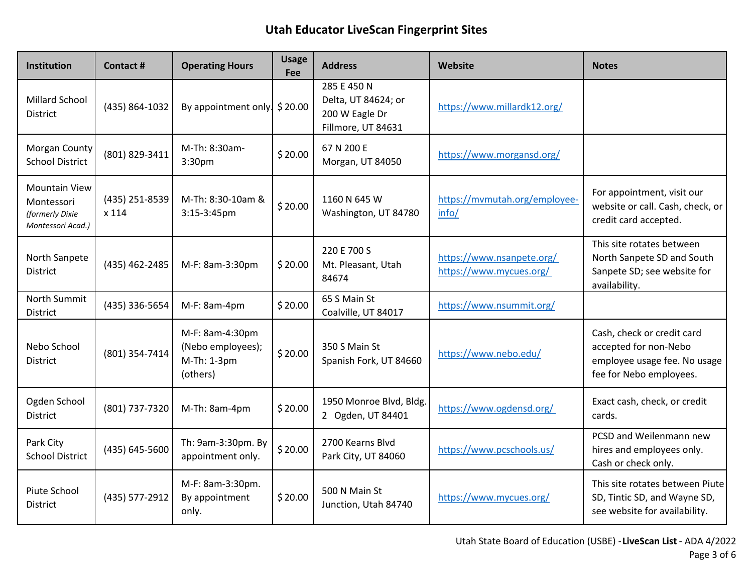| Institution                                                                | Contact #               | <b>Operating Hours</b>                                          | <b>Usage</b><br><b>Fee</b> | <b>Address</b>                                                             | Website                                              | <b>Notes</b>                                                                                                   |
|----------------------------------------------------------------------------|-------------------------|-----------------------------------------------------------------|----------------------------|----------------------------------------------------------------------------|------------------------------------------------------|----------------------------------------------------------------------------------------------------------------|
| <b>Millard School</b><br><b>District</b>                                   | (435) 864-1032          | By appointment only. $$20.00$                                   |                            | 285 E 450 N<br>Delta, UT 84624; or<br>200 W Eagle Dr<br>Fillmore, UT 84631 | https://www.millardk12.org/                          |                                                                                                                |
| Morgan County<br><b>School District</b>                                    | (801) 829-3411          | M-Th: 8:30am-<br>3:30pm                                         | \$20.00                    | 67 N 200 E<br>Morgan, UT 84050                                             | https://www.morgansd.org/                            |                                                                                                                |
| <b>Mountain View</b><br>Montessori<br>(formerly Dixie<br>Montessori Acad.) | (435) 251-8539<br>x 114 | M-Th: 8:30-10am &<br>3:15-3:45pm                                | \$20.00                    | 1160 N 645 W<br>Washington, UT 84780                                       | https://mvmutah.org/employee-<br>info/               | For appointment, visit our<br>website or call. Cash, check, or<br>credit card accepted.                        |
| North Sanpete<br><b>District</b>                                           | (435) 462-2485          | M-F: 8am-3:30pm                                                 | \$20.00                    | 220 E 700 S<br>Mt. Pleasant, Utah<br>84674                                 | https://www.nsanpete.org/<br>https://www.mycues.org/ | This site rotates between<br>North Sanpete SD and South<br>Sanpete SD; see website for<br>availability.        |
| North Summit<br><b>District</b>                                            | (435) 336-5654          | $M-F: 8am-4pm$                                                  | \$20.00                    | 65 S Main St<br>Coalville, UT 84017                                        | https://www.nsummit.org/                             |                                                                                                                |
| Nebo School<br><b>District</b>                                             | (801) 354-7414          | M-F: 8am-4:30pm<br>(Nebo employees);<br>M-Th: 1-3pm<br>(others) | \$20.00                    | 350 S Main St<br>Spanish Fork, UT 84660                                    | https://www.nebo.edu/                                | Cash, check or credit card<br>accepted for non-Nebo<br>employee usage fee. No usage<br>fee for Nebo employees. |
| Ogden School<br><b>District</b>                                            | (801) 737-7320          | M-Th: 8am-4pm                                                   | \$20.00                    | 1950 Monroe Blvd, Bldg.<br>2 Ogden, UT 84401                               | https://www.ogdensd.org/                             | Exact cash, check, or credit<br>cards.                                                                         |
| Park City<br><b>School District</b>                                        | (435) 645-5600          | Th: 9am-3:30pm. By<br>appointment only.                         | \$20.00                    | 2700 Kearns Blvd<br>Park City, UT 84060                                    | https://www.pcschools.us/                            | PCSD and Weilenmann new<br>hires and employees only.<br>Cash or check only.                                    |
| Piute School<br><b>District</b>                                            | (435) 577-2912          | M-F: 8am-3:30pm.<br>By appointment<br>only.                     | \$20.00                    | 500 N Main St<br>Junction, Utah 84740                                      | https://www.mycues.org/                              | This site rotates between Piute<br>SD, Tintic SD, and Wayne SD,<br>see website for availability.               |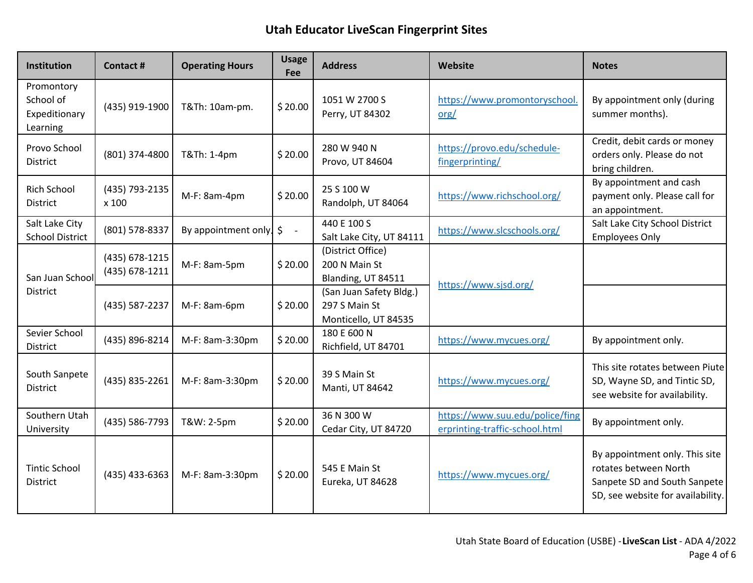| <b>Institution</b>                                   | Contact #                        | <b>Operating Hours</b> | <b>Usage</b><br>Fee               | <b>Address</b>                                                   | Website                                                           | <b>Notes</b>                                                                                                                 |
|------------------------------------------------------|----------------------------------|------------------------|-----------------------------------|------------------------------------------------------------------|-------------------------------------------------------------------|------------------------------------------------------------------------------------------------------------------------------|
| Promontory<br>School of<br>Expeditionary<br>Learning | (435) 919-1900                   | T&Th: 10am-pm.         | \$20.00                           | 1051 W 2700 S<br>Perry, UT 84302                                 | https://www.promontoryschool.<br>$org/$                           | By appointment only (during<br>summer months).                                                                               |
| Provo School<br>District                             | (801) 374-4800                   | T&Th: 1-4pm            | \$20.00                           | 280 W 940 N<br>Provo, UT 84604                                   | https://provo.edu/schedule-<br>fingerprinting/                    | Credit, debit cards or money<br>orders only. Please do not<br>bring children.                                                |
| <b>Rich School</b><br><b>District</b>                | (435) 793-2135<br>x 100          | M-F: 8am-4pm           | \$20.00                           | 25 S 100 W<br>Randolph, UT 84064                                 | https://www.richschool.org/                                       | By appointment and cash<br>payment only. Please call for<br>an appointment.                                                  |
| Salt Lake City<br><b>School District</b>             | (801) 578-8337                   | By appointment only.   | \$<br>$\mathcal{L}_{\mathcal{A}}$ | 440 E 100 S<br>Salt Lake City, UT 84111                          | https://www.slcschools.org/                                       | Salt Lake City School District<br><b>Employees Only</b>                                                                      |
| San Juan School<br><b>District</b>                   | (435) 678-1215<br>(435) 678-1211 | M-F: 8am-5pm           | \$20.00                           | (District Office)<br>200 N Main St<br>Blanding, UT 84511         | https://www.sjsd.org/                                             |                                                                                                                              |
|                                                      | (435) 587-2237                   | M-F: 8am-6pm           | \$20.00                           | (San Juan Safety Bldg.)<br>297 S Main St<br>Monticello, UT 84535 |                                                                   |                                                                                                                              |
| Sevier School<br>District                            | (435) 896-8214                   | M-F: 8am-3:30pm        | \$20.00                           | 180 E 600 N<br>Richfield, UT 84701                               | https://www.mycues.org/                                           | By appointment only.                                                                                                         |
| South Sanpete<br><b>District</b>                     | (435) 835-2261                   | M-F: 8am-3:30pm        | \$20.00                           | 39 S Main St<br>Manti, UT 84642                                  | https://www.mycues.org/                                           | This site rotates between Piute<br>SD, Wayne SD, and Tintic SD,<br>see website for availability.                             |
| Southern Utah<br>University                          | (435) 586-7793                   | T&W: 2-5pm             | \$20.00                           | 36 N 300 W<br>Cedar City, UT 84720                               | https://www.suu.edu/police/fing<br>erprinting-traffic-school.html | By appointment only.                                                                                                         |
| <b>Tintic School</b><br>District                     | (435) 433-6363                   | M-F: 8am-3:30pm        | \$20.00                           | 545 E Main St<br>Eureka, UT 84628                                | https://www.mycues.org/                                           | By appointment only. This site<br>rotates between North<br>Sanpete SD and South Sanpete<br>SD, see website for availability. |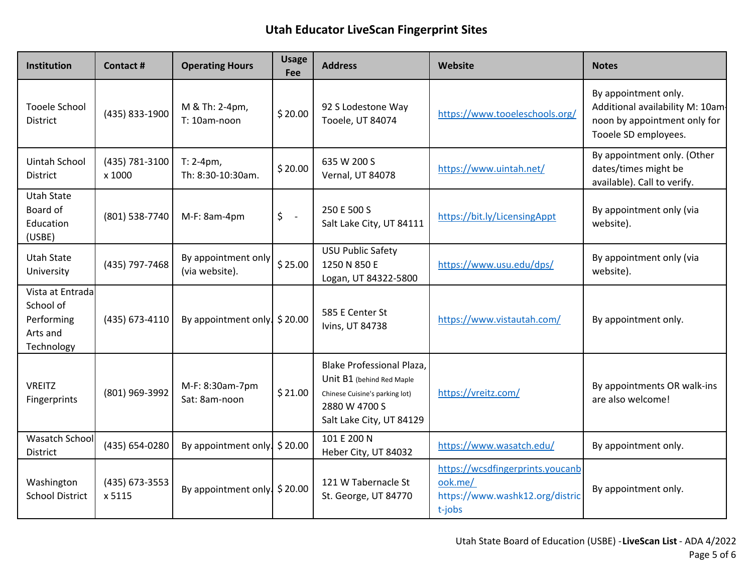| <b>Institution</b>                                                    | Contact#                 | <b>Operating Hours</b>                | <b>Usage</b><br><b>Fee</b> | <b>Address</b>                                                                                                                        | Website                                                                                  | <b>Notes</b>                                                                                                     |
|-----------------------------------------------------------------------|--------------------------|---------------------------------------|----------------------------|---------------------------------------------------------------------------------------------------------------------------------------|------------------------------------------------------------------------------------------|------------------------------------------------------------------------------------------------------------------|
| <b>Tooele School</b><br>District                                      | (435) 833-1900           | M & Th: 2-4pm,<br>T: 10am-noon        | \$20.00                    | 92 S Lodestone Way<br>Tooele, UT 84074                                                                                                | https://www.tooeleschools.org/                                                           | By appointment only.<br>Additional availability M: 10am-<br>noon by appointment only for<br>Tooele SD employees. |
| <b>Uintah School</b><br>District                                      | (435) 781-3100<br>x 1000 | $T: 2-4pm$ ,<br>Th: 8:30-10:30am.     | \$20.00                    | 635 W 200 S<br>Vernal, UT 84078                                                                                                       | https://www.uintah.net/                                                                  | By appointment only. (Other<br>dates/times might be<br>available). Call to verify.                               |
| <b>Utah State</b><br>Board of<br>Education<br>(USBE)                  | (801) 538-7740           | $M-F: 8am-4pm$                        | \$<br>$\mathbb{Z}^2$       | 250 E 500 S<br>Salt Lake City, UT 84111                                                                                               | https://bit.ly/LicensingAppt                                                             | By appointment only (via<br>website).                                                                            |
| <b>Utah State</b><br>University                                       | (435) 797-7468           | By appointment only<br>(via website). | \$25.00                    | <b>USU Public Safety</b><br>1250 N 850 E<br>Logan, UT 84322-5800                                                                      | https://www.usu.edu/dps/                                                                 | By appointment only (via<br>website).                                                                            |
| Vista at Entrada<br>School of<br>Performing<br>Arts and<br>Technology | (435) 673-4110           | By appointment only. $$20.00$         |                            | 585 E Center St<br>Ivins, UT 84738                                                                                                    | https://www.vistautah.com/                                                               | By appointment only.                                                                                             |
| <b>VREITZ</b><br>Fingerprints                                         | (801) 969-3992           | M-F: 8:30am-7pm<br>Sat: 8am-noon      | \$21.00                    | Blake Professional Plaza,<br>Unit B1 (behind Red Maple<br>Chinese Cuisine's parking lot)<br>2880 W 4700 S<br>Salt Lake City, UT 84129 | https://vreitz.com/                                                                      | By appointments OR walk-ins<br>are also welcome!                                                                 |
| <b>Wasatch School</b><br>District                                     | (435) 654-0280           | By appointment only   \$20.00         |                            | 101 E 200 N<br>Heber City, UT 84032                                                                                                   | https://www.wasatch.edu/                                                                 | By appointment only.                                                                                             |
| Washington<br><b>School District</b>                                  | (435) 673-3553<br>x 5115 | By appointment only   \$20.00         |                            | 121 W Tabernacle St<br>St. George, UT 84770                                                                                           | https://wcsdfingerprints.youcanb<br>ook.me/<br>https://www.washk12.org/distric<br>t-jobs | By appointment only.                                                                                             |